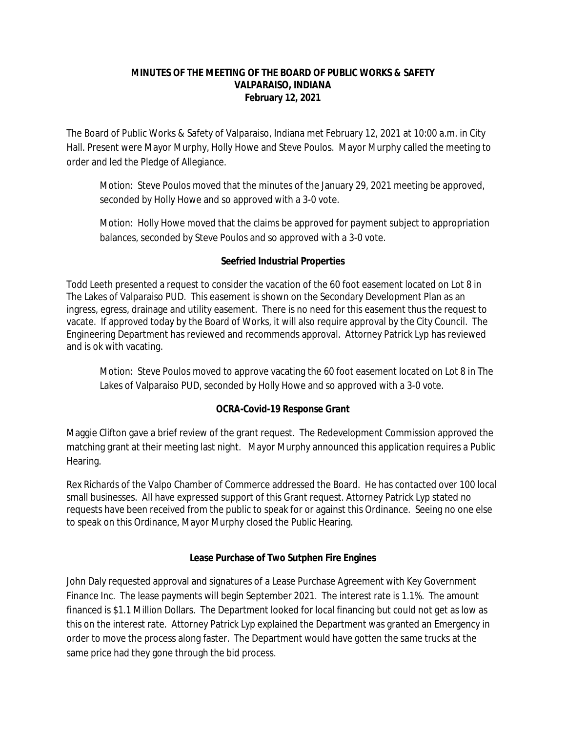#### **MINUTES OF THE MEETING OF THE BOARD OF PUBLIC WORKS & SAFETY VALPARAISO, INDIANA February 12, 2021**

The Board of Public Works & Safety of Valparaiso, Indiana met February 12, 2021 at 10:00 a.m. in City Hall. Present were Mayor Murphy, Holly Howe and Steve Poulos. Mayor Murphy called the meeting to order and led the Pledge of Allegiance.

Motion: Steve Poulos moved that the minutes of the January 29, 2021 meeting be approved, seconded by Holly Howe and so approved with a 3-0 vote.

Motion: Holly Howe moved that the claims be approved for payment subject to appropriation balances, seconded by Steve Poulos and so approved with a 3-0 vote.

### **Seefried Industrial Properties**

Todd Leeth presented a request to consider the vacation of the 60 foot easement located on Lot 8 in The Lakes of Valparaiso PUD. This easement is shown on the Secondary Development Plan as an ingress, egress, drainage and utility easement. There is no need for this easement thus the request to vacate. If approved today by the Board of Works, it will also require approval by the City Council. The Engineering Department has reviewed and recommends approval. Attorney Patrick Lyp has reviewed and is ok with vacating.

Motion: Steve Poulos moved to approve vacating the 60 foot easement located on Lot 8 in The Lakes of Valparaiso PUD, seconded by Holly Howe and so approved with a 3-0 vote.

### **OCRA-Covid-19 Response Grant**

Maggie Clifton gave a brief review of the grant request. The Redevelopment Commission approved the matching grant at their meeting last night. Mayor Murphy announced this application requires a Public Hearing.

Rex Richards of the Valpo Chamber of Commerce addressed the Board. He has contacted over 100 local small businesses. All have expressed support of this Grant request. Attorney Patrick Lyp stated no requests have been received from the public to speak for or against this Ordinance. Seeing no one else to speak on this Ordinance, Mayor Murphy closed the Public Hearing.

#### **Lease Purchase of Two Sutphen Fire Engines**

John Daly requested approval and signatures of a Lease Purchase Agreement with Key Government Finance Inc. The lease payments will begin September 2021. The interest rate is 1.1%. The amount financed is \$1.1 Million Dollars. The Department looked for local financing but could not get as low as this on the interest rate. Attorney Patrick Lyp explained the Department was granted an Emergency in order to move the process along faster. The Department would have gotten the same trucks at the same price had they gone through the bid process.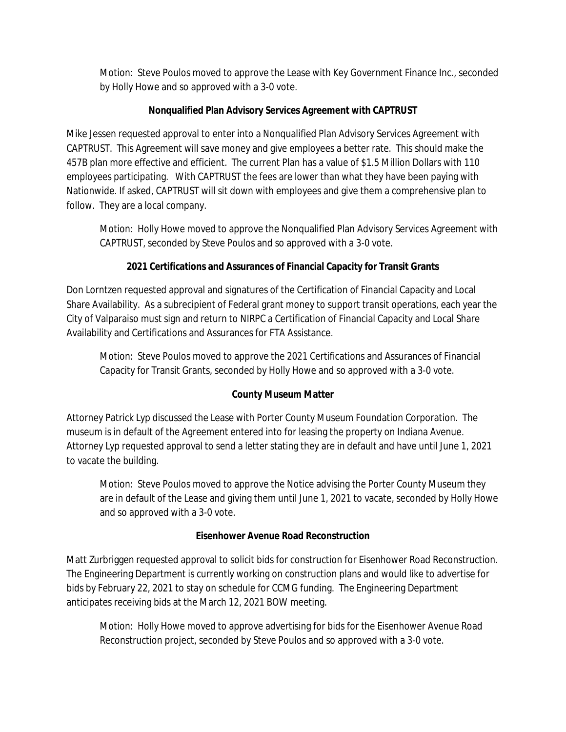Motion: Steve Poulos moved to approve the Lease with Key Government Finance Inc., seconded by Holly Howe and so approved with a 3-0 vote.

# **Nonqualified Plan Advisory Services Agreement with CAPTRUST**

Mike Jessen requested approval to enter into a Nonqualified Plan Advisory Services Agreement with CAPTRUST. This Agreement will save money and give employees a better rate. This should make the 457B plan more effective and efficient. The current Plan has a value of \$1.5 Million Dollars with 110 employees participating. With CAPTRUST the fees are lower than what they have been paying with Nationwide. If asked, CAPTRUST will sit down with employees and give them a comprehensive plan to follow. They are a local company.

Motion: Holly Howe moved to approve the Nonqualified Plan Advisory Services Agreement with CAPTRUST, seconded by Steve Poulos and so approved with a 3-0 vote.

# **2021 Certifications and Assurances of Financial Capacity for Transit Grants**

Don Lorntzen requested approval and signatures of the Certification of Financial Capacity and Local Share Availability. As a subrecipient of Federal grant money to support transit operations, each year the City of Valparaiso must sign and return to NIRPC a Certification of Financial Capacity and Local Share Availability and Certifications and Assurances for FTA Assistance.

Motion: Steve Poulos moved to approve the 2021 Certifications and Assurances of Financial Capacity for Transit Grants, seconded by Holly Howe and so approved with a 3-0 vote.

# **County Museum Matter**

Attorney Patrick Lyp discussed the Lease with Porter County Museum Foundation Corporation. The museum is in default of the Agreement entered into for leasing the property on Indiana Avenue. Attorney Lyp requested approval to send a letter stating they are in default and have until June 1, 2021 to vacate the building.

Motion: Steve Poulos moved to approve the Notice advising the Porter County Museum they are in default of the Lease and giving them until June 1, 2021 to vacate, seconded by Holly Howe and so approved with a 3-0 vote.

### **Eisenhower Avenue Road Reconstruction**

Matt Zurbriggen requested approval to solicit bids for construction for Eisenhower Road Reconstruction. The Engineering Department is currently working on construction plans and would like to advertise for bids by February 22, 2021 to stay on schedule for CCMG funding. The Engineering Department anticipates receiving bids at the March 12, 2021 BOW meeting.

Motion: Holly Howe moved to approve advertising for bids for the Eisenhower Avenue Road Reconstruction project, seconded by Steve Poulos and so approved with a 3-0 vote.